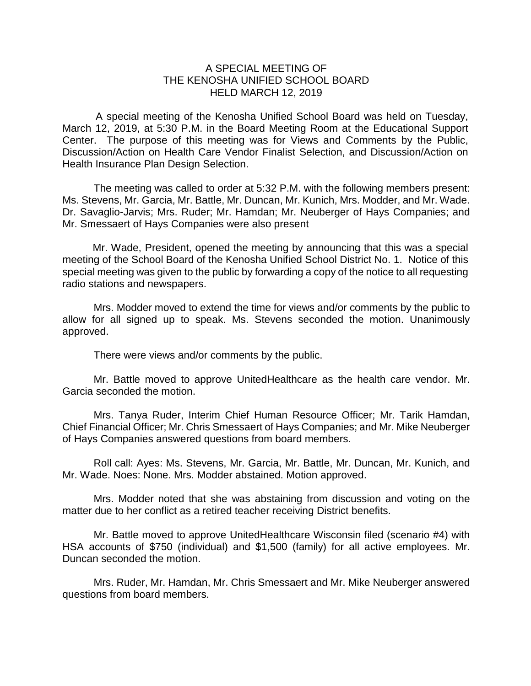## A SPECIAL MEETING OF THE KENOSHA UNIFIED SCHOOL BOARD HELD MARCH 12, 2019

A special meeting of the Kenosha Unified School Board was held on Tuesday, March 12, 2019, at 5:30 P.M. in the Board Meeting Room at the Educational Support Center. The purpose of this meeting was for Views and Comments by the Public, Discussion/Action on Health Care Vendor Finalist Selection, and Discussion/Action on Health Insurance Plan Design Selection.

The meeting was called to order at 5:32 P.M. with the following members present: Ms. Stevens, Mr. Garcia, Mr. Battle, Mr. Duncan, Mr. Kunich, Mrs. Modder, and Mr. Wade. Dr. Savaglio-Jarvis; Mrs. Ruder; Mr. Hamdan; Mr. Neuberger of Hays Companies; and Mr. Smessaert of Hays Companies were also present

Mr. Wade, President, opened the meeting by announcing that this was a special meeting of the School Board of the Kenosha Unified School District No. 1. Notice of this special meeting was given to the public by forwarding a copy of the notice to all requesting radio stations and newspapers.

Mrs. Modder moved to extend the time for views and/or comments by the public to allow for all signed up to speak. Ms. Stevens seconded the motion. Unanimously approved.

There were views and/or comments by the public.

Mr. Battle moved to approve UnitedHealthcare as the health care vendor. Mr. Garcia seconded the motion.

Mrs. Tanya Ruder, Interim Chief Human Resource Officer; Mr. Tarik Hamdan, Chief Financial Officer; Mr. Chris Smessaert of Hays Companies; and Mr. Mike Neuberger of Hays Companies answered questions from board members.

Roll call: Ayes: Ms. Stevens, Mr. Garcia, Mr. Battle, Mr. Duncan, Mr. Kunich, and Mr. Wade. Noes: None. Mrs. Modder abstained. Motion approved.

Mrs. Modder noted that she was abstaining from discussion and voting on the matter due to her conflict as a retired teacher receiving District benefits.

Mr. Battle moved to approve UnitedHealthcare Wisconsin filed (scenario #4) with HSA accounts of \$750 (individual) and \$1,500 (family) for all active employees. Mr. Duncan seconded the motion.

Mrs. Ruder, Mr. Hamdan, Mr. Chris Smessaert and Mr. Mike Neuberger answered questions from board members.